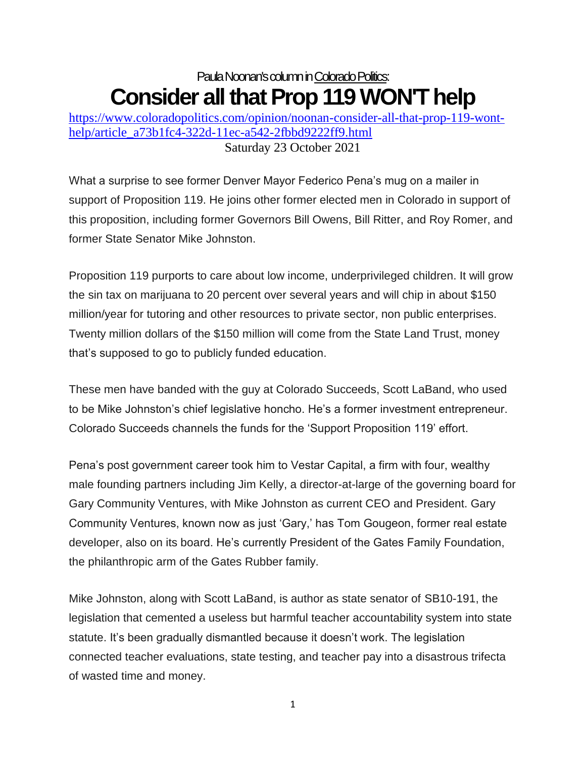## Paula Noonan's column in Colorado Politics: **Consider all that Prop 119 WON'T help**

[https://www.coloradopolitics.com/opinion/noonan-consider-all-that-prop-119-wont](https://www.coloradopolitics.com/opinion/noonan-consider-all-that-prop-119-wont-help/article_a73b1fc4-322d-11ec-a542-2fbbd9222ff9.html)[help/article\\_a73b1fc4-322d-11ec-a542-2fbbd9222ff9.html](https://www.coloradopolitics.com/opinion/noonan-consider-all-that-prop-119-wont-help/article_a73b1fc4-322d-11ec-a542-2fbbd9222ff9.html) Saturday 23 October 2021

What a surprise to see former Denver Mayor Federico Pena's mug on a mailer in support of Proposition 119. He joins other former elected men in Colorado in support of this proposition, including former Governors Bill Owens, Bill Ritter, and Roy Romer, and former State Senator Mike Johnston.

Proposition 119 purports to care about low income, underprivileged children. It will grow the sin tax on marijuana to 20 percent over several years and will chip in about \$150 million/year for tutoring and other resources to private sector, non public enterprises. Twenty million dollars of the \$150 million will come from the State Land Trust, money that's supposed to go to publicly funded education.

These men have banded with the guy at Colorado Succeeds, Scott LaBand, who used to be Mike Johnston's chief legislative honcho. He's a former investment entrepreneur. Colorado Succeeds channels the funds for the 'Support Proposition 119' effort.

Pena's post government career took him to Vestar Capital, a firm with four, wealthy male founding partners including Jim Kelly, a director-at-large of the governing board for Gary Community Ventures, with Mike Johnston as current CEO and President. Gary Community Ventures, known now as just 'Gary,' has Tom Gougeon, former real estate developer, also on its board. He's currently President of the Gates Family Foundation, the philanthropic arm of the Gates Rubber family.

Mike Johnston, along with Scott LaBand, is author as state senator of SB10-191, the legislation that cemented a useless but harmful teacher accountability system into state statute. It's been gradually dismantled because it doesn't work. The legislation connected teacher evaluations, state testing, and teacher pay into a disastrous trifecta of wasted time and money.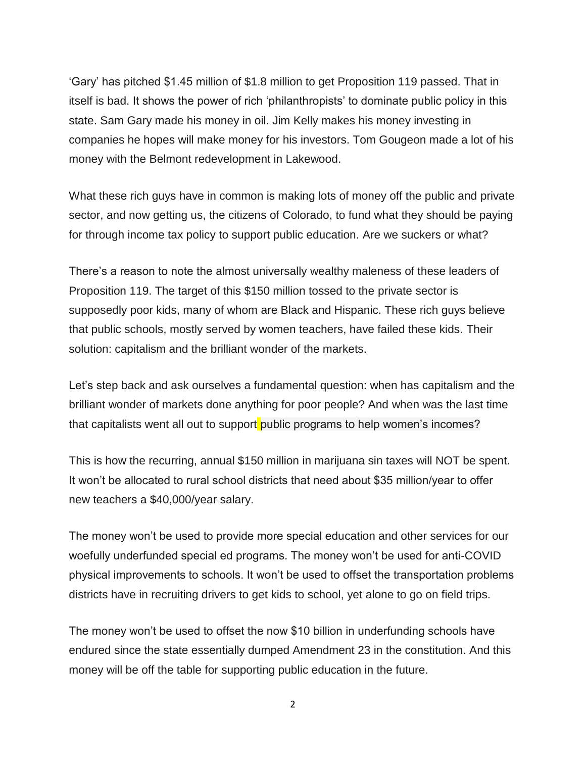'Gary' has pitched \$1.45 million of \$1.8 million to get Proposition 119 passed. That in itself is bad. It shows the power of rich 'philanthropists' to dominate public policy in this state. Sam Gary made his money in oil. Jim Kelly makes his money investing in companies he hopes will make money for his investors. Tom Gougeon made a lot of his money with the Belmont redevelopment in Lakewood.

What these rich guys have in common is making lots of money off the public and private sector, and now getting us, the citizens of Colorado, to fund what they should be paying for through income tax policy to support public education. Are we suckers or what?

There's a reason to note the almost universally wealthy maleness of these leaders of Proposition 119. The target of this \$150 million tossed to the private sector is supposedly poor kids, many of whom are Black and Hispanic. These rich guys believe that public schools, mostly served by women teachers, have failed these kids. Their solution: capitalism and the brilliant wonder of the markets.

Let's step back and ask ourselves a fundamental question: when has capitalism and the brilliant wonder of markets done anything for poor people? And when was the last time that capitalists went all out to support public programs to help women's incomes?

This is how the recurring, annual \$150 million in marijuana sin taxes will NOT be spent. It won't be allocated to rural school districts that need about \$35 million/year to offer new teachers a \$40,000/year salary.

The money won't be used to provide more special education and other services for our woefully underfunded special ed programs. The money won't be used for anti-COVID physical improvements to schools. It won't be used to offset the transportation problems districts have in recruiting drivers to get kids to school, yet alone to go on field trips.

The money won't be used to offset the now \$10 billion in underfunding schools have endured since the state essentially dumped Amendment 23 in the constitution. And this money will be off the table for supporting public education in the future.

2